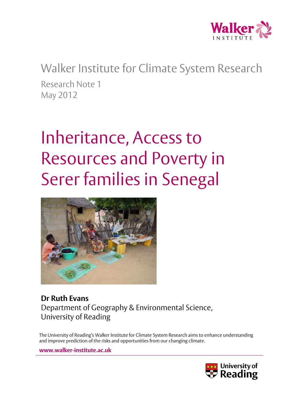

Walker Institute for Climate System Research Research Note 1 May 2012

# Inheritance, Access to Resources and Poverty in Serer families in Senegal



**Dr Ruth Evans** Department of Geography & Environmental Science, University of Reading

The University of Reading's Walker Institute for Climate System Research aims to enhance understanding and improve prediction of the risks and opportunities from our changing climate.

**www.walker-institute.ac.uk**

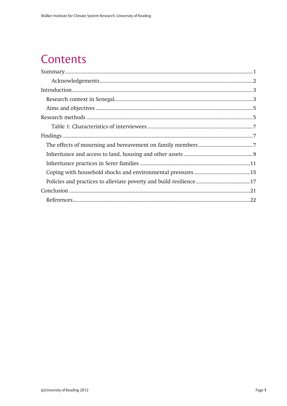### Contents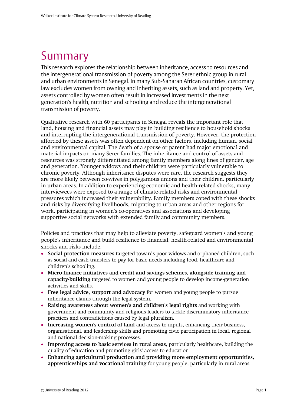# <span id="page-2-0"></span>Summary

This research explores the relationship between inheritance, access to resources and the intergenerational transmission of poverty among the Serer ethnic group in rural and urban environments in Senegal. In many Sub-Saharan African countries, customary law excludes women from owning and inheriting assets, such as land and property. Yet, assets controlled by women often result in increased investments in the next generation's health, nutrition and schooling and reduce the intergenerational transmission of poverty.

Qualitative research with 60 participants in Senegal reveals the important role that land, housing and financial assets may play in building resilience to household shocks and interrupting the intergenerational transmission of poverty. However, the protection afforded by these assets was often dependent on other factors, including human, social and environmental capital. The death of a spouse or parent had major emotional and material impacts on many Serer families. The inheritance and control of assets and resources was strongly differentiated among family members along lines of gender, age and generation. Younger widows and their children were particularly vulnerable to chronic poverty. Although inheritance disputes were rare, the research suggests they are more likely between co-wives in polygamous unions and their children, particularly in urban areas. In addition to experiencing economic and health-related shocks, many interviewees were exposed to a range of climate-related risks and environmental pressures which increased their vulnerability. Family members coped with these shocks and risks by diversifying livelihoods, migrating to urban areas and other regions for work, participating in women's co-operatives and associations and developing supportive social networks with extended family and community members.

Policies and practices that may help to alleviate poverty, safeguard women's and young people's inheritance and build resilience to financial, health-related and environmental shocks and risks include:

- **Social protection measures** targeted towards poor widows and orphaned children, such as social and cash transfers to pay for basic needs including food, healthcare and children's schooling.
- **Micro-finance initiatives and credit and savings schemes, alongside training and capacity-building** targeted to women and young people to develop income-generation activities and skills.
- **Free legal advice, support and advocacy** for women and young people to pursue inheritance claims through the legal system.
- **Raising awareness about women's and children's legal rights** and working with government and community and religious leaders to tackle discriminatory inheritance practices and contradictions caused by legal pluralism.
- **Increasing women's control of land** and access to inputs, enhancing their business, organisational, and leadership skills and promoting civic participation in local, regional and national decision-making processes.
- **Improving access to basic services in rural areas**, particularly healthcare, building the quality of education and promoting girls' access to education
- **Enhancing agricultural production and providing more employment opportunities**, **apprenticeships and vocational training** for young people, particularly in rural areas.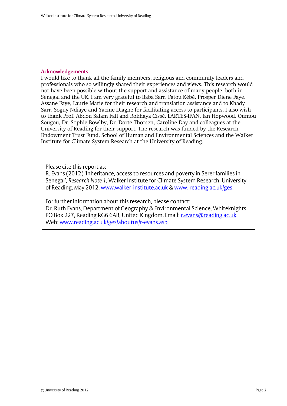#### <span id="page-3-0"></span>**Acknowledgements**

I would like to thank all the family members, religious and community leaders and professionals who so willingly shared their experiences and views. This research would not have been possible without the support and assistance of many people, both in Senegal and the UK. I am very grateful to Baba Sarr, Fatou Kébé, Prosper Diene Faye, Assane Faye, Laurie Marie for their research and translation assistance and to Khady Sarr, Soguy Ndiaye and Yacine Diagne for facilitating access to participants. I also wish to thank Prof. Abdou Salam Fall and Rokhaya Cissé, LARTES-IFAN, Ian Hopwood, Oumou Sougou, Dr. Sophie Bowlby, Dr. Dorte Thorsen, Caroline Day and colleagues at the University of Reading for their support. The research was funded by the Research Endowment Trust Fund, School of Human and Environmental Sciences and the Walker Institute for Climate System Research at the University of Reading.

Please cite this report as:

R. Evans (2012) 'Inheritance, access to resources and poverty in Serer families in Senegal', *Research Note 1*, Walker Institute for Climate System Research, University of Reading, May 2012, [www.walker-institute.ac.uk](http://www.walker-institute.ac.uk/) [& www. reading.ac.uk/ges.](http://www.reading.ac.uk/geographyandenvironmentalscience)

For further information about this research, please contact: Dr. Ruth Evans, Department of Geography & Environmental Science, Whiteknights PO Box 227, Reading RG6 6AB, United Kingdom. Email: [r.evans@reading.ac.uk.](mailto:r.evans@reading.ac.uk) Web: [www.reading.ac.uk/ges/aboutus/r-evans.asp](http://www.reading.ac.uk/ges/aboutus/r-evans.asp)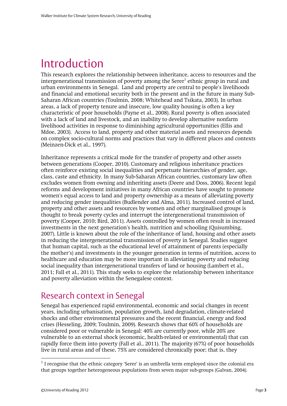### <span id="page-4-0"></span>Introduction

This research explores the relationship between inheritance, access to resources and the intergenerational transmission of poverty among the Serer<sup>1</sup> ethnic group in rural and urban environments in Senegal. Land and property are central to people's livelihoods and financial and emotional security both in the present and in the future in many Sub-Saharan African countries (Toulmin, 2008; Whitehead and Tsikata, 2003). In urban areas, a lack of property tenure and insecure, low quality housing is often a key characteristic of poor households (Payne et al., 2008). Rural poverty is often associated with a lack of land and livestock, and an inability to develop alternative nonfarm livelihood activities in response to diminishing agricultural opportunities (Ellis and Mdoe, 2003). Access to land, property and other material assets and resources depends on complex socio-cultural norms and practices that vary in different places and contexts (Meinzen-Dick et al., 1997).

Inheritance represents a critical mode for the transfer of property and other assets between generations (Cooper, 2010). Customary and religious inheritance practices often reinforce existing social inequalities and perpetuate hierarchies of gender, age, class, caste and ethnicity. In many Sub-Saharan African countries, customary law often excludes women from owning and inheriting assets (Deere and Doss, 2006). Recent legal reforms and development initiatives in many African countries have sought to promote women's equal access to land and property ownership as a means of alleviating poverty and reducing gender inequalities (Budlender and Alma, 2011). Increased control of land, property and other assets and resources by women and other marginalised groups is thought to break poverty cycles and interrupt the intergenerational transmission of poverty (Cooper, 2010; Bird, 2011). Assets controlled by women often result in increased investments in the next generation's health, nutrition and schooling (Quisumbing, 2007). Little is known about the role of the inheritance of land, housing and other assets in reducing the intergenerational transmission of poverty in Senegal. Studies suggest that human capital, such as the educational level of attainment of parents (especially the mother's) and investments in the younger generation in terms of nutrition, access to healthcare and education may be more important in alleviating poverty and reducing social inequality than intergenerational transfers of land or housing (Lambert et al., 2011; Fall et al., 2011). This study seeks to explore the relationship between inheritance and poverty alleviation within the Senegalese context.

### <span id="page-4-1"></span>Research context in Senegal

Senegal has experienced rapid environmental, economic and social changes in recent years, including urbanisation, population growth, land degradation, climate-related shocks and other environmental pressures and the recent financial, energy and food crises (Hesseling, 2009; Toulmin, 2009). Research shows that 60% of households are considered poor or vulnerable in Senegal: 40% are currently poor, while 20% are vulnerable to an external shock (economic, health-related or environmental) that can rapidly force them into poverty (Fall et al., 2011). The majority (67%) of poor households live in rural areas and of these, 75% are considered chronically poor; that is, they

-

 $<sup>1</sup>$  I recognise that the ethnic category 'Serer' is an umbrella term employed since the colonial era</sup> that groups together heterogeneous populations from seven major sub-groups (Galvan, 2004).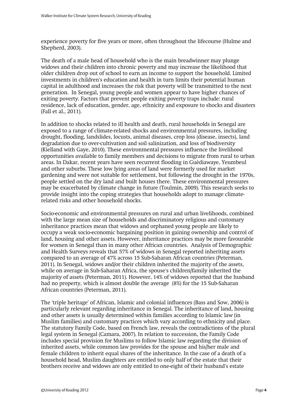experience poverty for five years or more, often throughout the lifecourse (Hulme and Shepherd, 2003).

The death of a male head of household who is the main breadwinner may plunge widows and their children into chronic poverty and may increase the likelihood that older children drop out of school to earn an income to support the household. Limited investments in children's education and health in turn limits their potential human capital in adulthood and increases the risk that poverty will be transmitted to the next generation. In Senegal, young people and women appear to have higher chances of exiting poverty. Factors that prevent people exiting poverty traps include: rural residence, lack of education, gender, age, ethnicity and exposure to shocks and disasters (Fall et al., 2011).

In addition to shocks related to ill health and death, rural households in Senegal are exposed to a range of climate-related shocks and environmental pressures, including drought, flooding, landslides, locusts, animal diseases, crop loss (disease, insects), land degradation due to over-cultivation and soil salinization, and loss of biodiversity (Kielland with Gaye, 2010). These environmental pressures influence the livelihood opportunities available to family members and decisions to migrate from rural to urban areas. In Dakar, recent years have seen recurrent flooding in Guèdiawaye, Yeumbeul and other suburbs. These low lying areas of land were formerly used for market gardening and were not suitable for settlement, but following the drought in the 1970s, people settled on the dry land and built houses there. These environmental pressures may be exacerbated by climate change in future (Toulmin, 2009). This research seeks to provide insight into the coping strategies that households adopt to manage climaterelated risks and other household shocks.

Socio-economic and environmental pressures on rural and urban livelihoods, combined with the large mean size of households and discriminatory religious and customary inheritance practices mean that widows and orphaned young people are likely to occupy a weak socio-economic bargaining position in gaining ownership and control of land, housing and other assets. However, inheritance practices may be more favourable for women in Senegal than in many other African countries. Analysis of Demographic and Health Surveys reveals that 57% of widows in Senegal reported inheriting assets compared to an average of 47% across 15 Sub-Saharan African countries (Peterman, 2011). In Senegal, widows and/or their children inherited the majority of the assets, while on average in Sub-Saharan Africa, the spouse's children/family inherited the majority of assets (Peterman, 2011). However, 14% of widows reported that the husband had no property, which is almost double the average (8%) for the 15 Sub-Saharan African countries (Peterman, 2011).

The 'triple heritage' of African, Islamic and colonial influences (Bass and Sow, 2006) is particularly relevant regarding inheritance in Senegal. The inheritance of land, housing and other assets is usually determined within families according to Islamic law (in Muslim families) and customary practices which vary according to ethnicity and place. The statutory Family Code, based on French law, reveals the contradictions of the plural legal system in Senegal (Camara, 2007). In relation to succession, the Family Code includes special provision for Muslims to follow Islamic law regarding the division of inherited assets, while common law provides for the spouse and his/her male and female children to inherit equal shares of the inheritance. In the case of a death of a household head, Muslim daughters are entitled to only half of the estate that their brothers receive and widows are only entitled to one-eight of their husband's estate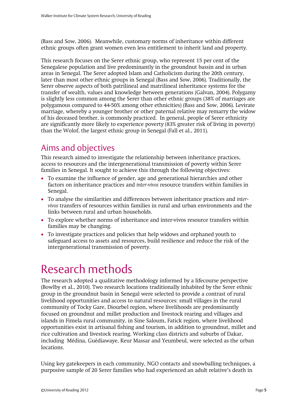(Bass and Sow, 2006). Meanwhile, customary norms of inheritance within different ethnic groups often grant women even less entitlement to inherit land and property.

This research focuses on the Serer ethnic group, who represent 15 per cent of the Senegalese population and live predominantly in the groundnut bassin and in urban areas in Senegal. The Serer adopted Islam and Catholicism during the 20th century, later than most other ethnic groups in Senegal (Bass and Sow, 2006). Traditionally, the Serer observe aspects of both patrilineal and matrilineal inheritance systems for the transfer of wealth, values and knowledge between generations (Galvan, 2004). Polygamy is slightly less common among the Serer than other ethnic groups (38% of marriages are polygamous compared to 44-50% among other ethnicities) (Bass and Sow, 2006). Levirate marriage, whereby a younger brother or other paternal relative may remarry the widow of his deceased brother, is commonly practiced. In general, people of Serer ethnicity are significantly more likely to experience poverty (83% greater risk of living in poverty) than the Wolof, the largest ethnic group in Senegal (Fall et al., 2011).

### <span id="page-6-0"></span>Aims and objectives

This research aimed to investigate the relationship between inheritance practices, access to resources and the intergenerational transmission of poverty within Serer families in Senegal. It sought to achieve this through the following objectives:

- To examine the influence of gender, age and generational hierarchies and other factors on inheritance practices and *inter-vivos* resource transfers within families in Senegal.
- To analyse the similarities and differences between inheritance practices and *intervivos* transfers of resources within families in rural and urban environments and the links between rural and urban households.
- To explore whether norms of inheritance and inter-vivos resource transfers within families may be changing.
- To investigate practices and policies that help widows and orphaned youth to safeguard access to assets and resources, build resilience and reduce the risk of the intergenerational transmission of poverty.

### <span id="page-6-1"></span>Research methods

The research adopted a qualitative methodology informed by a lifecourse perspective (Bowlby et al., 2010). Two research locations traditionally inhabited by the Serer ethnic group in the groundnut basin in Senegal were selected to provide a contrast of rural livelihood opportunities and access to natural resources: small villages in the rural community of Tocky Gare, Diourbel region, where livelihoods are predominantly focused on groundnut and millet production and livestock rearing and villages and islands in Fimela rural community, in Sine Saloum, Fatick region, where livelihood opportunities exist in artisanal fishing and tourism, in addition to groundnut, millet and rice cultivation and livestock rearing. Working class districts and suburbs of Dakar, including Médina, Guèdiawaye, Keur Massar and Yeumbeul, were selected as the urban **locations** 

Using key gatekeepers in each community, NGO contacts and snowballing techniques, a purposive sample of 20 Serer families who had experienced an adult relative's death in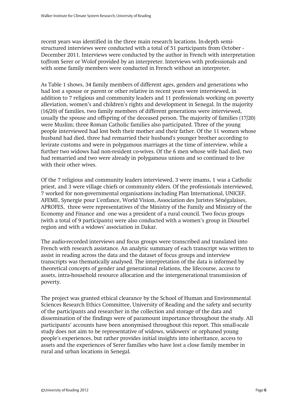recent years was identified in the three main research locations. In-depth semistructured interviews were conducted with a total of 51 participants from October - December 2011. Interviews were conducted by the author in French with interpretation to/from Serer or Wolof provided by an interpreter. Interviews with professionals and with some family members were conducted in French without an interpreter.

As Table 1 shows, 34 family members of different ages, genders and generations who had lost a spouse or parent or other relative in recent years were interviewed, in addition to 7 religious and community leaders and 11 professionals working on poverty alleviation, women's and children's rights and development in Senegal. In the majority (16/20) of families, two family members of different generations were interviewed, usually the spouse and offspring of the deceased person. The majority of families (17/20) were Muslim; three Roman Catholic families also participated. Three of the young people interviewed had lost both their mother and their father. Of the 11 women whose husband had died, three had remarried their husband's younger brother according to levirate customs and were in polygamous marriages at the time of interview, while a further two widows had non-resident co-wives. Of the 6 men whose wife had died, two had remarried and two were already in polygamous unions and so continued to live with their other wives.

Of the 7 religious and community leaders interviewed, 3 were imams, 1 was a Catholic priest, and 3 were village chiefs or community elders. Of the professionals interviewed, 7 worked for non-governmental organisations including Plan International, UNICEF, AFEME, Synergie pour L'enfance, World Vision, Association des Juristes Sénégalaises, APROFES, three were representatives of the Ministry of the Family and Ministry of the Economy and Finance and one was a president of a rural council. Two focus groups (with a total of 9 participants) were also conducted with a women's group in Diourbel region and with a widows' association in Dakar.

The audio-recorded interviews and focus groups were transcribed and translated into French with research assistance. An analytic summary of each transcript was written to assist in reading across the data and the dataset of focus groups and interview transcripts was thematically analysed. The interpretation of the data is informed by theoretical concepts of gender and generational relations, the lifecourse, access to assets, intra-household resource allocation and the intergenerational transmission of poverty.

The project was granted ethical clearance by the School of Human and Environmental Sciences Research Ethics Committee, University of Reading and the safety and security of the participants and researcher in the collection and storage of the data and dissemination of the findings were of paramount importance throughout the study. All participants' accounts have been anonymised throughout this report. This small-scale study does not aim to be representative of widows, widowers' or orphaned young people's experiences, but rather provides initial insights into inheritance, access to assets and the experiences of Serer families who have lost a close family member in rural and urban locations in Senegal.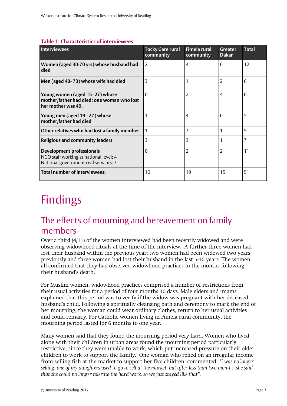#### <span id="page-8-0"></span>**Table 1: Characteristics of interviewees**

| <b>Interviewees</b>                                                                                                 | <b>Tocky Gare rural</b><br>community | <b>Fimela rural</b><br>community | <b>Greater</b><br><b>Dakar</b> | <b>Total</b>   |
|---------------------------------------------------------------------------------------------------------------------|--------------------------------------|----------------------------------|--------------------------------|----------------|
| Women (aged 30-70 yrs) whose husband had<br>died                                                                    | 2                                    | 4                                | 6                              | 12             |
| Men (aged 40-73) whose wife had died                                                                                | 3                                    |                                  | $\overline{2}$                 | 6              |
| Young women (aged 15 -27) whose<br>mother/father had died; one woman who lost<br>her mother was 49.                 | $\Omega$                             | 2                                | $\overline{4}$                 | 6              |
| Young men (aged 19 - 27) whose<br>mother/father had died                                                            |                                      | 4                                | $\Omega$                       | 5              |
| Other relatives who had lost a family member                                                                        |                                      | 3                                | 1                              | 5              |
| <b>Religious and community leaders</b>                                                                              | 3                                    | 3                                | 1                              | $\overline{7}$ |
| <b>Development professionals</b><br>NGO staff working at national level: 4<br>National government civil servants: 3 | $\Omega$                             | 2                                | $\overline{2}$                 | 11             |
| <b>Total number of interviewees:</b>                                                                                | 10                                   | 19                               | 15                             | 51             |

## <span id="page-8-1"></span>Findings

### <span id="page-8-2"></span>The effects of mourning and bereavement on family members

Over a third (4/11) of the women interviewed had been recently widowed and were observing widowhood rituals at the time of the interview. A further three women had lost their husband within the previous year; two women had been widowed two years previously and three women had lost their husband in the last 5-10 years. The women all confirmed that they had observed widowhood practices in the months following their husband's death.

For Muslim women, widowhood practices comprised a number of restrictions from their usual activities for a period of four months 10 days. Male elders and imams explained that this period was to verify if the widow was pregnant with her deceased husband's child. Following a spiritually cleansing bath and ceremony to mark the end of her mourning, the woman could wear ordinary clothes, return to her usual activities and could remarry. For Catholic women living in Fimela rural community, the mourning period lasted for 6 months to one year.

Many women said that they found the mourning period very hard. Women who lived alone with their children in urban areas found the mourning period particularly restrictive, since they were unable to work, which put increased pressure on their older children to work to support the family. One woman who relied on an irregular income from selling fish at the market to support her five children, commented: "*I was no longer selling, one of my daughters used to go to sell at the market, but after less than two months, she said that she could no longer tolerate the hard work, so we just stayed like that".*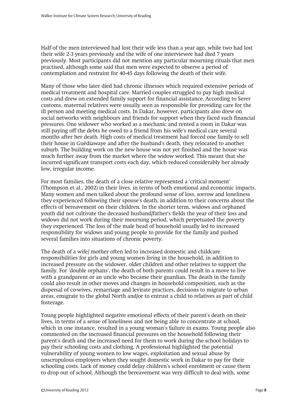Half of the men interviewed had lost their wife less than a year ago, while two had lost their wife 2-3 years previously and the wife of one interviewee had died 7 years previously. Most participants did not mention any particular mourning rituals that men practised, although some said that men were expected to observe a period of contemplation and restraint for 40-45 days following the death of their wife.

Many of those who later died had chronic illnesses which required extensive periods of medical treatment and hospital care. Married couples struggled to pay high medical costs and drew on extended family support for financial assistance. According to Serer customs, maternal relatives were usually seen as responsible for providing care for the ill person and meeting medical costs. In Dakar, however, participants also drew on social networks with neighbours and friends for support when they faced such financial pressures. One widower who worked as a mechanic and rented a room in Dakar was still paying off the debts he owed to a friend from his wife's medical care several months after her death. High costs of medical treatment had forced one family to sell their house in Guèdiawaye and after the husband's death, they relocated to another suburb. The building work on the new house was not yet finished and the house was much further away from the market where the widow worked. This meant that she incurred significant transport costs each day, which reduced considerably her already low, irregular income.

For most families, the death of a close relative represented a 'critical moment' (Thompson et al., 2002) in their lives, in terms of both emotional and economic impacts. Many women and men talked about the profound sense of loss, sorrow and loneliness they experienced following their spouse's death, in addition to their concerns about the effects of bereavement on their children. In the shorter term, widows and orphaned youth did not cultivate the deceased husband/father's fields the year of their loss and widows did not work during their mourning period, which perpetuated the poverty they experienced. The loss of the male head of household usually led to increased responsibility for widows and young people to provide for the family and pushed several families into situations of chronic poverty.

The death of a wife/ mother often led to increased domestic and childcare responsibilities for girls and young women living in the household, in addition to increased pressure on the widower, older children and other relatives to support the family. For 'double orphans', the death of both parents could result in a move to live with a grandparent or an uncle who became their guardian. The death in the family could also result in other moves and changes in household composition, such as the dispersal of co-wives, remarriage and levirate practices, decisions to migrate to urban areas, emigrate to the global North and/or to entrust a child to relatives as part of child fosterage.

Young people highlighted negative emotional effects of their parent's death on their lives, in terms of a sense of loneliness and not being able to concentrate at school, which in one instance, resulted in a young woman's failure in exams. Young people also commented on the increased financial pressures on the household following their parent's death and the increased need for them to work during the school holidays to pay their schooling costs and clothing. A professional highlighted the potential vulnerability of young women to low wages, exploitation and sexual abuse by unscrupulous employers when they sought domestic work in Dakar to pay for their schooling costs. Lack of money could delay children's school enrolment or cause them to drop out of school. Although the bereavement was very difficult to deal with, some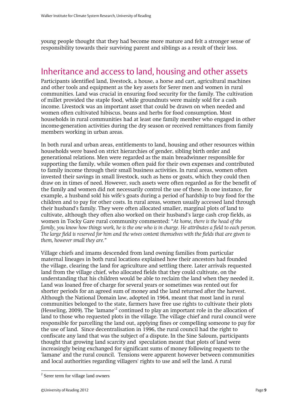young people thought that they had become more mature and felt a stronger sense of responsibility towards their surviving parent and siblings as a result of their loss.

#### <span id="page-10-0"></span>Inheritance and access to land, housing and other assets

Participants identified land, livestock, a house, a horse and cart, agricultural machines and other tools and equipment as the key assets for Serer men and women in rural communities. Land was crucial in ensuring food security for the family. The cultivation of millet provided the staple food, while groundnuts were mainly sold for a cash income. Livestock was an important asset that could be drawn on when needed and women often cultivated hibiscus, beans and herbs for food consumption. Most households in rural communities had at least one family member who engaged in other income-generation activities during the dry season or received remittances from family members working in urban areas.

In both rural and urban areas, entitlements to land, housing and other resources within households were based on strict hierarchies of gender, sibling birth order and generational relations. Men were regarded as the main breadwinner responsible for supporting the family, while women often paid for their own expenses and contributed to family income through their small business activities. In rural areas, women often invested their savings in small livestock, such as hens or goats, which they could then draw on in times of need. However, such assets were often regarded as for the benefit of the family and women did not necessarily control the use of these. In one instance, for example, a husband sold his wife's goats during a period of hardship to buy food for the children and to pay for other costs. In rural areas, women usually accessed land through their husband's family. They were often allocated smaller, marginal plots of land to cultivate, although they often also worked on their husband's large cash crop fields, as women in Tocky Gare rural community commented: "*At home, there is the head of the family, you know how things work, he is the one who is in charge. He attributes a field to each person. The large field is reserved for him and the wives content themselves with the fields that are given to them, however small they are."* 

Village chiefs and imams descended from land owning families from particular maternal lineages in both rural locations explained how their ancestors had founded the village, clearing the land for agriculture and settling there. Later arrivals requested land from the village chief, who allocated fields that they could cultivate, on the understanding that his children would be able to reclaim the land when they needed it. Land was loaned free of charge for several years or sometimes was rented out for shorter periods for an agreed sum of money and the land returned after the harvest. Although the National Domain law, adopted in 1964, meant that most land in rural communities belonged to the state, farmers have free use rights to cultivate their plots (Hesseling, 2009). The 'lamane'<sup>2</sup> continued to play an important role in the allocation of land to those who requested plots in the village. The village chief and rural council were responsible for parcelling the land out, applying fines or compelling someone to pay for the use of land. Since decentralisation in 1996, the rural council had the right to confiscate any land that was the subject of a dispute. In the Sine Saloum, participants thought that growing land scarcity and speculation meant that plots of land were increasingly being exchanged for significant sums of money following requests to the 'lamane' and the rural council. Tensions were apparent however between communities and local authorities regarding villagers' rights to use and sell the land. A rural

<sup>&</sup>lt;sup>2</sup> Serer term for village land owners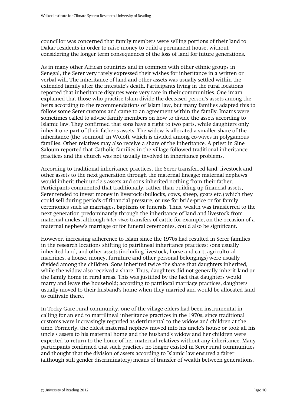councillor was concerned that family members were selling portions of their land to Dakar residents in order to raise money to build a permanent house, without considering the longer term consequences of the loss of land for future generations.

As in many other African countries and in common with other ethnic groups in Senegal, the Serer very rarely expressed their wishes for inheritance in a written or verbal will. The inheritance of land and other assets was usually settled within the extended family after the intestate's death. Participants living in the rural locations reported that inheritance disputes were very rare in their communities. One imam explained that those who practise Islam divide the deceased person's assets among the heirs according to the recommendations of Islam law, but many families adapted this to follow some Serer customs and came to an agreement within the family. Imams were sometimes called to advise family members on how to divide the assets according to Islamic law. They confirmed that sons have a right to two parts, while daughters only inherit one part of their father's assets. The widow is allocated a smaller share of the inheritance (the 'soumoul' in Wolof), which is divided among co-wives in polygamous families. Other relatives may also receive a share of the inheritance. A priest in Sine Saloum reported that Catholic families in the village followed traditional inheritance practices and the church was not usually involved in inheritance problems.

According to traditional inheritance practices, the Serer transferred land, livestock and other assets to the next generation through the maternal lineage; maternal nephews would inherit their uncle's assets and sons inherited nothing from their father. Participants commented that traditionally, rather than building up financial assets, Serer tended to invest money in livestock (bullocks, cows, sheep, goats etc.) which they could sell during periods of financial pressure, or use for bride-price or for family ceremonies such as marriages, baptisms or funerals. Thus, wealth was transferred to the next generation predominantly through the inheritance of land and livestock from maternal uncles, although *inter-vivos* transfers of cattle for example, on the occasion of a maternal nephew's marriage or for funeral ceremonies, could also be significant.

However, increasing adherence to Islam since the 1970s had resulted in Serer families in the research locations shifting to patrilineal inheritance practices; sons usually inherited land, and other assets (including livestock, horse and cart, agricultural machines, a house, money, furniture and other personal belongings) were usually divided among the children. Sons inherited twice the share that daughters inherited, while the widow also received a share. Thus, daughters did not generally inherit land or the family home in rural areas. This was justified by the fact that daughters would marry and leave the household; according to patrilocal marriage practices, daughters usually moved to their husband's home when they married and would be allocated land to cultivate there.

In Tocky Gare rural community, one of the village elders had been instrumental in calling for an end to matrilineal inheritance practices in the 1970s, since traditional customs were increasingly regarded as detrimental to the widow and children at the time. Formerly, the eldest maternal nephew moved into his uncle's house or took all his uncle's assets to his maternal home and the husband's widow and her children were expected to return to the home of her maternal relatives without any inheritance. Many participants confirmed that such practices no longer existed in Serer rural communities and thought that the division of assets according to Islamic law ensured a fairer (although still gender discriminatory) means of transfer of wealth between generations.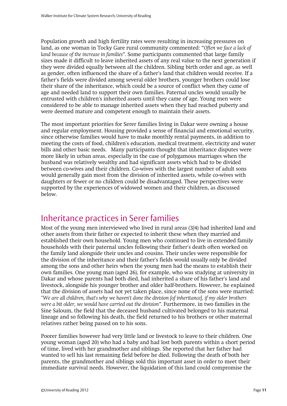Population growth and high fertility rates were resulting in increasing pressures on land, as one woman in Tocky Gare rural community commented: "*Often we face a lack of land because of the increase in families".* Some participants commented that large family sizes made it difficult to leave inherited assets of any real value to the next generation if they were divided equally between all the children. Sibling birth order and age, as well as gender, often influenced the share of a father's land that children would receive. If a father's fields were divided among several older brothers, younger brothers could lose their share of the inheritance, which could be a source of conflict when they came of age and needed land to support their own families. Paternal uncles would usually be entrusted with children's inherited assets until they came of age. Young men were considered to be able to manage inherited assets when they had reached puberty and were deemed mature and competent enough to maintain their assets.

The most important priorities for Serer families living in Dakar were owning a house and regular employment. Housing provided a sense of financial and emotional security, since otherwise families would have to make monthly rental payments, in addition to meeting the costs of food, children's education, medical treatment, electricity and water bills and other basic needs. Many participants thought that inheritance disputes were more likely in urban areas, especially in the case of polygamous marriages when the husband was relatively wealthy and had significant assets which had to be divided between co-wives and their children. Co-wives with the largest number of adult sons would generally gain most from the division of inherited assets, while co-wives with daughters or fewer or no children could be disadvantaged. These perspectives were supported by the experiences of widowed women and their children, as discussed below.

#### <span id="page-12-0"></span>Inheritance practices in Serer families

Most of the young men interviewed who lived in rural areas (3/4) had inherited land and other assets from their father or expected to inherit these when they married and established their own household. Young men who continued to live in extended family households with their paternal uncles following their father's death often worked on the family land alongside their uncles and cousins. Their uncles were responsible for the division of the inheritance and their father's fields would usually only be divided among the sons and other heirs when the young men had the means to establish their own families. One young man (aged 26), for example, who was studying at university in Dakar and whose parents had both died, had inherited a share of his father's land and livestock, alongside his younger brother and older half-brothers. However, he explained that the division of assets had not yet taken place, since none of the sons were married: "*We are all children, that's why we haven't done the division [of inheritance], if my older brothers were a bit older, we would have carried out the division".* Furthermore, in two families in the Sine Saloum, the field that the deceased husband cultivated belonged to his maternal lineage and so following his death, the field returned to his brothers or other maternal relatives rather being passed on to his sons.

Poorer families however had very little land or livestock to leave to their children. One young woman (aged 20) who had a baby and had lost both parents within a short period of time, lived with her grandmother and siblings. She reported that her father had wanted to sell his last remaining field before he died. Following the death of both her parents, the grandmother and siblings sold this important asset in order to meet their immediate survival needs. However, the liquidation of this land could compromise the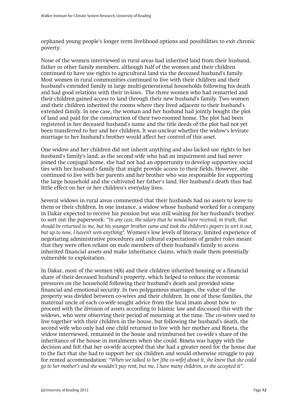orphaned young people's longer term livelihood options and possibilities to exit chronic poverty.

None of the women interviewed in rural areas had inherited land from their husband, father or other family members, although half of the women and their children continued to have use rights to agricultural land via the deceased husband's family. Most women in rural communities continued to live with their children and their husband's extended family in large multi-generational households following his death and had good relations with their in-laws. The three women who had remarried and their children gained access to land through their new husband's family. Two women and their children inherited the rooms where they lived adjacent to their husband's extended family. In one case, the woman and her husband had jointly bought the plot of land and paid for the construction of their two-roomed home. The plot had been registered in her deceased husband's name and the title deeds of the plot had not yet been transferred to her and her children. It was unclear whether the widow's levirate marriage to her husband's brother would affect her control of this asset.

One widow and her children did not inherit anything and also lacked use rights to her husband's family's land; as the second wife who had an impairment and had never joined the conjugal home, she had not had an opportunity to develop supportive social ties with her husband's family that might provide access to their fields. However, she continued to live with her parents and her brother who was responsible for supporting the large household and she cultivated her father's land. Her husband's death thus had little effect on her or her children's everyday lives.

Several widows in rural areas commented that their husbands had no assets to leave to them or their children. In one instance, a widow whose husband worked for a company in Dakar expected to receive his pension but was still waiting for her husband's brother to sort out the paperwork: "*In any case, the salary that he would have received, in truth, that should be returned to me, but his younger brother came and took the children's papers to sort it out, but up to now, I haven't seen anything".* Women's low levels of literacy, limited experience of negotiating administrative procedures and cultural expectations of gender roles meant that they were often reliant on male members of their husband's family to access inherited financial assets and make inheritance claims, which made them potentially vulnerable to exploitation.

In Dakar, most of the women (4/6) and their children inherited housing or a financial share of their deceased husband's property, which helped to reduce the economic pressures on the household following their husband's death and provided some financial and emotional security. In two polygamous marriages, the value of the property was divided between co-wives and their children. In one of these families, the maternal uncle of each co-wife sought advice from the local imam about how to proceed with the division of assets according to Islamic law and discussed this with the widows, who were observing their period of mourning at the time. The co-wives used to live together with their children in the house, but following the husband's death, the second wife who only had one child returned to live with her mother and Bineta, the widow interviewed, remained in the house and reimbursed her co-wife's share of the inheritance of the house in instalments when she could. Bineta was happy with the decision and felt that her co-wife accepted that she had a greater need for the house due to the fact that she had to support her six children and would otherwise struggle to pay for rented accommodation: *"When we talked to her [the co-wife] about it, she knew that she could go to her mother's and she wouldn't pay rent, but me, I have many children, so she accepted it".*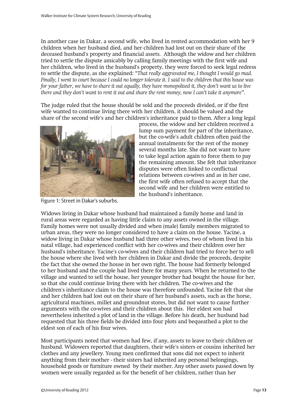In another case in Dakar, a second wife, who lived in rented accommodation with her 9 children when her husband died, and her children had lost out on their share of the deceased husband's property and financial assets. Although the widow and her children tried to settle the dispute amicably by calling family meetings with the first wife and her children, who lived in the husband's property, they were forced to seek legal redress to settle the dispute, as she explained: "*That really aggravated me, I thought I would go mad. Finally, I went to court because I could no longer tolerate it. I said to the children that this house was for your father, we have to share it out equally, they have monopolised it, they don't want us to live there and they don't want to rent it out and share the rent money, now I can't take it anymore*"*.* 

The judge ruled that the house should be sold and the proceeds divided, or if the first wife wanted to continue living there with her children, it should be valued and the share of the second wife's and her children's inheritance paid to them. After a long legal



Figure 1: Street in Dakar's suburbs.

process, the widow and her children received a lump sum payment for part of the inheritance, but the co-wife's adult children often paid the annual instalments for the rest of the money several months late. She did not want to have to take legal action again to force them to pay the remaining amount. She felt that inheritance disputes were often linked to conflictual relations between co-wives and as in her case, the first wife often refused to accept that the second wife and her children were entitled to the husband's inheritance.

Widows living in Dakar whose husband had maintained a family home and land in rural areas were regarded as having little claim to any assets owned in the village. Family homes were not usually divided and when (male) family members migrated to urban areas, they were no longer considered to have a claim on the house. Yacine, a widow living in Dakar whose husband had three other wives, two of whom lived in his natal village, had experienced conflict with her co-wives and their children over her husband's inheritance. Yacine's co-wives and their children had tried to force her to sell the house where she lived with her children in Dakar and divide the proceeds, despite the fact that she owned the house in her own right. The house had formerly belonged to her husband and the couple had lived there for many years. When he returned to the village and wanted to sell the house, her younger brother had bought the house for her, so that she could continue living there with her children. The co-wives and the children's inheritance claim to the house was therefore unfounded. Yacine felt that she and her children had lost out on their share of her husband's assets, such as the horse, agricultural machines, millet and groundnut stores, but did not want to cause further arguments with the co-wives and their children about this. Her eldest son had nevertheless inherited a plot of land in the village. Before his death, her husband had requested that his three fields be divided into four plots and bequeathed a plot to the eldest son of each of his four wives.

Most participants noted that women had few, if any, assets to leave to their children or husband. Widowers reported that daughters, their wife's sisters or cousins inherited her clothes and any jewellery. Young men confirmed that sons did not expect to inherit anything from their mother - their sisters had inherited any personal belongings, household goods or furniture owned by their mother. Any other assets passed down by women were usually regarded as for the benefit of her children, rather than her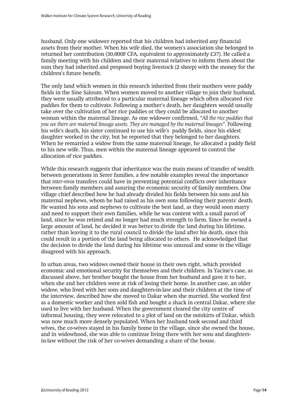husband. Only one widower reported that his children had inherited any financial assets from their mother. When his wife died, the women's association she belonged to returned her contribution (30,000F CFA, equivalent to approximately £37). He called a family meeting with his children and their maternal relatives to inform them about the sum they had inherited and proposed buying livestock (2 sheep) with the money for the children's future benefit.

The only land which women in this research inherited from their mothers were paddy fields in the Sine Saloum. When women moved to another village to join their husband, they were usually attributed to a particular maternal lineage which often allocated rice paddies for them to cultivate. Following a mother's death, her daughters would usually take over the cultivation of her rice paddies or they could be allocated to another woman within the maternal lineage. As one widower confirmed, *"All the rice paddies that you see there are maternal lineage assets. They are managed by the maternal lineages".* Following his wife's death, his sister continued to use his wife's paddy fields, since his eldest daughter worked in the city, but he reported that they belonged to her daughters. When he remarried a widow from the same maternal lineage, he allocated a paddy field to his new wife. Thus, men within the maternal lineage appeared to control the allocation of rice paddies.

While this research suggests that inheritance was the main means of transfer of wealth between generations in Serer families, a few notable examples reveal the importance that *inter-vivos* transfers could have in preventing potential conflicts over inheritance between family members and assuring the economic security of family members. One village chief described how he had already divided his fields between his sons and his maternal nephews, whom he had raised as his own sons following their parents' death. He wanted his sons and nephews to cultivate the best land, as they would soon marry and need to support their own families, while he was content with a small parcel of land, since he was retired and no longer had much strength to farm. Since he owned a large amount of land, he decided it was better to divide the land during his lifetime, rather than leaving it to the rural council to divide the land after his death, since this could result in a portion of the land being allocated to others. He acknowledged that the decision to divide the land during his lifetime was unusual and some in the village disagreed with his approach.

In urban areas, two widows owned their house in their own right, which provided economic and emotional security for themselves and their children. In Yacine's case, as discussed above, her brother bought the house from her husband and gave it to her, when she and her children were at risk of losing their home. In another case, an older widow, who lived with her sons and daughters-in-law and their children at the time of the interview, described how she moved to Dakar when she married. She worked first as a domestic worker and then sold fish and bought a shack in central Dakar, where she used to live with her husband. When the government cleared the city centre of informal housing, they were relocated to a plot of land on the outskirts of Dakar, which was now much more densely populated. When her husband took second and third wives, the co-wives stayed in his family home in the village, since she owned the house, and in widowhood, she was able to continue living there with her sons and daughtersin-law without the risk of her co-wives demanding a share of the house.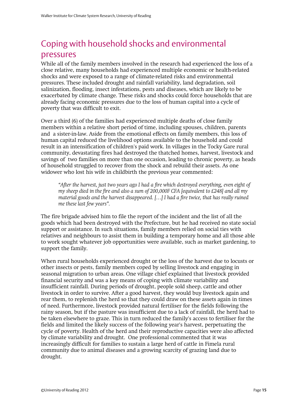### <span id="page-16-0"></span>Coping with household shocks and environmental pressures

While all of the family members involved in the research had experienced the loss of a close relative, many households had experienced multiple economic or health-related shocks and were exposed to a range of climate-related risks and environmental pressures. These included drought and rainfall variability, land degradation, soil salinization, flooding, insect infestations, pests and diseases, which are likely to be exacerbated by climate change. These risks and shocks could force households that are already facing economic pressures due to the loss of human capital into a cycle of poverty that was difficult to exit.

Over a third (6) of the families had experienced multiple deaths of close family members within a relative short period of time, including spouses, children, parents and a sister-in-law. Aside from the emotional effects on family members, this loss of human capital reduced the livelihood options available to the household and could result in an intensification of children's paid work. In villages in the Tocky Gare rural community, devastating fires had destroyed the thatched homes, harvest, livestock and savings of two families on more than one occasion, leading to chronic poverty, as heads of household struggled to recover from the shock and rebuild their assets. As one widower who lost his wife in childbirth the previous year commented:

*"After the harvest, just two years ago I had a fire which destroyed everything, even eight of my sheep died in the fire and also a sum of 200,000F CFA [equivalent to £248] and all my material goods and the harvest disappeared. […] I had a fire twice, that has really ruined me these last few years".*

The fire brigade advised him to file the report of the incident and the list of all the goods which had been destroyed with the Prefecture, but he had received no state social support or assistance. In such situations, family members relied on social ties with relatives and neighbours to assist them in building a temporary home and all those able to work sought whatever job opportunities were available, such as market gardening, to support the family.

When rural households experienced drought or the loss of the harvest due to locusts or other insects or pests, family members coped by selling livestock and engaging in seasonal migration to urban areas. One village chief explained that livestock provided financial security and was a key means of coping with climate variability and insufficient rainfall. During periods of drought, people sold sheep, cattle and other livestock in order to survive. After a good harvest, they would buy livestock again and rear them, to replenish the herd so that they could draw on these assets again in times of need. Furthermore, livestock provided natural fertiliser for the fields following the rainy season, but if the pasture was insufficient due to a lack of rainfall, the herd had to be taken elsewhere to graze. This in turn reduced the family's access to fertiliser for the fields and limited the likely success of the following year's harvest, perpetuating the cycle of poverty. Health of the herd and their reproductive capacities were also affected by climate variability and drought. One professional commented that it was increasingly difficult for families to sustain a large herd of cattle in Fimela rural community due to animal diseases and a growing scarcity of grazing land due to drought.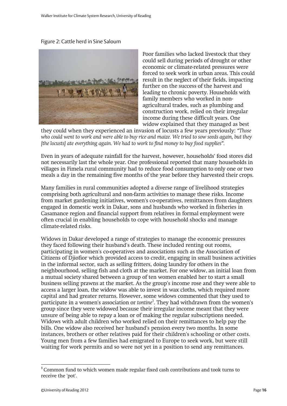Figure 2: Cattle herd in Sine Saloum



Poor families who lacked livestock that they could sell during periods of drought or other economic or climate-related pressures were forced to seek work in urban areas. This could result in the neglect of their fields, impacting further on the success of the harvest and leading to chronic poverty. Households with family members who worked in nonagricultural trades, such as plumbing and construction work, relied on their irregular income during these difficult years. One widow explained that they managed as best

they could when they experienced an invasion of locusts a few years previously: *"Those who could went to work and were able to buy rice and maize. We tried to sow seeds again, but they [the locusts] ate everything again. We had to work to find money to buy food supplies".* 

Even in years of adequate rainfall for the harvest, however, households' food stores did not necessarily last the whole year. One professional reported that many households in villages in Fimela rural community had to reduce food consumption to only one or two meals a day in the remaining five months of the year before they harvested their crops.

Many families in rural communities adopted a diverse range of livelihood strategies comprising both agricultural and non-farm activities to manage these risks. Income from market gardening initiatives, women's co-operatives, remittances from daughters engaged in domestic work in Dakar, sons and husbands who worked in fisheries in Casamance region and financial support from relatives in formal employment were often crucial in enabling households to cope with household shocks and manage climate-related risks.

Widows in Dakar developed a range of strategies to manage the economic pressures they faced following their husband's death. These included renting out rooms, participating in women's co-operatives and associations such as the Association of Citizens of Djiofior which provided access to credit, engaging in small business activities in the informal sector, such as selling fritters, doing laundry for others in the neighbourhood, selling fish and cloth at the market. For one widow, an initial loan from a mutual society shared between a group of ten women enabled her to start a small business selling prawns at the market. As the group's income rose and they were able to access a larger loan, the widow was able to invest in wax cloths, which required more capital and had greater returns. However, some widows commented that they used to participate in a women's association or *tontine<sup>3</sup>* . They had withdrawn from the women's group since they were widowed because their irregular income meant that they were unsure of being able to repay a loan or of making the regular subscriptions needed. Widows with adult children who worked relied on their remittances to help pay the bills. One widow also received her husband's pension every two months. In some instances, brothers or other relatives paid for their children's schooling or other costs. Young men from a few families had emigrated to Europe to seek work, but were still waiting for work permits and so were not yet in a position to send any remittances.

 3 Common fund to which women made regular fixed cash contributions and took turns to receive the 'pot'.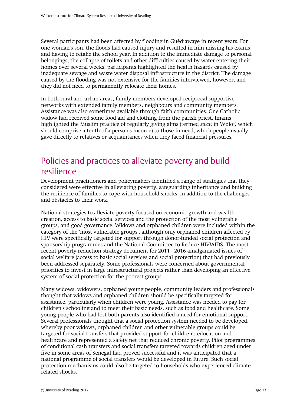Several participants had been affected by flooding in Guèdiawaye in recent years. For one woman's son, the floods had caused injury and resulted in him missing his exams and having to retake the school year. In addition to the immediate damage to personal belongings, the collapse of toilets and other difficulties caused by water entering their homes over several weeks, participants highlighted the health hazards caused by inadequate sewage and waste water disposal infrastructure in the district. The damage caused by the flooding was not extensive for the families interviewed, however, and they did not need to permanently relocate their homes.

In both rural and urban areas, family members developed reciprocal supportive networks with extended family members, neighbours and community members. Assistance was also sometimes available through faith communities. One Catholic widow had received some food aid and clothing from the parish priest. Imams highlighted the Muslim practice of regularly giving alms (termed *zakat* in Wolof, which should comprise a tenth of a person's income) to those in need, which people usually gave directly to relatives or acquaintances when they faced financial pressures.

#### <span id="page-18-0"></span>Policies and practices to alleviate poverty and build resilience

Development practitioners and policymakers identified a range of strategies that they considered were effective in alleviating poverty, safeguarding inheritance and building the resilience of families to cope with household shocks, in addition to the challenges and obstacles to their work.

National strategies to alleviate poverty focused on economic growth and wealth creation, access to basic social services and the protection of the most vulnerable groups, and good governance. Widows and orphaned children were included within the category of the 'most vulnerable groups', although only orphaned children affected by HIV were specifically targeted for support through donor-funded social protection and sponsorship programmes and the National Committee to Reduce HIV/AIDS. The most recent poverty reduction strategy document for 2011 - 2016 amalgamated issues of social welfare (access to basic social services and social protection) that had previously been addressed separately. Some professionals were concerned about governmental priorities to invest in large infrastructural projects rather than developing an effective system of social protection for the poorest groups.

Many widows, widowers, orphaned young people, community leaders and professionals thought that widows and orphaned children should be specifically targeted for assistance, particularly when children were young. Assistance was needed to pay for children's schooling and to meet their basic needs, such as food and healthcare. Some young people who had lost both parents also identified a need for emotional support. Several professionals thought that a social protection system needed to be developed, whereby poor widows, orphaned children and other vulnerable groups could be targeted for social transfers that provided support for children's education and healthcare and represented a safety net that reduced chronic poverty. Pilot programmes of conditional cash transfers and social transfers targeted towards children aged under five in some areas of Senegal had proved successful and it was anticipated that a national programme of social transfers would be developed in future. Such social protection mechanisms could also be targeted to households who experienced climaterelated shocks.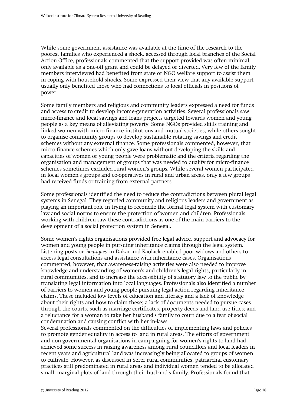While some government assistance was available at the time of the research to the poorest families who experienced a shock, accessed through local branches of the Social Action Office, professionals commented that the support provided was often minimal, only available as a one-off grant and could be delayed or diverted. Very few of the family members interviewed had benefited from state or NGO welfare support to assist them in coping with household shocks. Some expressed their view that any available support usually only benefited those who had connections to local officials in positions of power.

Some family members and religious and community leaders expressed a need for funds and access to credit to develop income-generation activities. Several professionals saw micro-finance and local savings and loans projects targeted towards women and young people as a key means of alleviating poverty. Some NGOs provided skills training and linked women with micro-finance institutions and mutual societies, while others sought to organise community groups to develop sustainable rotating savings and credit schemes without any external finance. Some professionals commented, however, that micro-finance schemes which only gave loans without developing the skills and capacities of women or young people were problematic and the criteria regarding the organisation and management of groups that was needed to qualify for micro-finance schemes sometimes excluded rural women's groups. While several women participated in local women's groups and co-operatives in rural and urban areas, only a few groups had received funds or training from external partners.

Some professionals identified the need to reduce the contradictions between plural legal systems in Senegal. They regarded community and religious leaders and government as playing an important role in trying to reconcile the formal legal system with customary law and social norms to ensure the protection of women and children. Professionals working with children saw these contradictions as one of the main barriers to the development of a social protection system in Senegal.

Some women's rights organisations provided free legal advice, support and advocacy for women and young people in pursuing inheritance claims through the legal system. Listening posts or '*boutiques'* in Dakar and Kaolack enabled poor widows and others to access legal consultations and assistance with inheritance cases. Organisations commented, however, that awareness-raising activities were also needed to improve knowledge and understanding of women's and children's legal rights, particularly in rural communities, and to increase the accessibility of statutory law to the public by translating legal information into local languages. Professionals also identified a number of barriers to women and young people pursuing legal action regarding inheritance claims. These included low levels of education and literacy and a lack of knowledge about their rights and how to claim these; a lack of documents needed to pursue cases through the courts, such as marriage certificates, property deeds and land use titles; and a reluctance for a woman to take her husband's family to court due to a fear of social condemnation and causing conflict with her in-laws.

Several professionals commented on the difficulties of implementing laws and policies to promote gender equality in access to land in rural areas. The efforts of government and non-governmental organisations in campaigning for women's rights to land had achieved some success in raising awareness among rural councillors and local leaders in recent years and agricultural land was increasingly being allocated to groups of women to cultivate. However, as discussed in Serer rural communities, patriarchal customary practices still predominated in rural areas and individual women tended to be allocated small, marginal plots of land through their husband's family. Professionals found that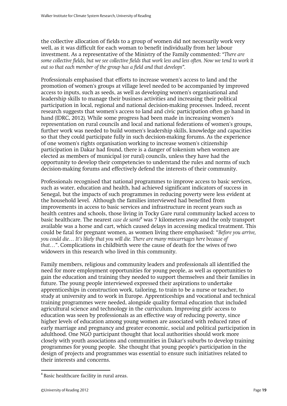the collective allocation of fields to a group of women did not necessarily work very well, as it was difficult for each woman to benefit individually from her labour investment. As a representative of the Ministry of the Family commented: *"There are some collective fields, but we see collective fields that work less and less often. Now we tend to work it out so that each member of the group has a field and that develops".* 

Professionals emphasised that efforts to increase women's access to land and the promotion of women's groups at village level needed to be accompanied by improved access to inputs, such as seeds, as well as developing women's organisational and leadership skills to manage their business activities and increasing their political participation in local, regional and national decision-making processes. Indeed, recent research suggests that women's access to land and civic participation often go hand in hand (IDRC, 2012). While some progress had been made in increasing women's representation on rural councils and local and national federations of women's groups, further work was needed to build women's leadership skills, knowledge and capacities so that they could participate fully in such decision-making forums. As the experience of one women's rights organisation working to increase women's citizenship participation in Dakar had found, there is a danger of tokenism when women are elected as members of municipal (or rural) councils, unless they have had the opportunity to develop their competencies to understand the rules and norms of such decision-making forums and effectively defend the interests of their community.

Professionals recognised that national programmes to improve access to basic services, such as water, education and health, had achieved significant indicators of success in Senegal, but the impacts of such programmes in reducing poverty were less evident at the household level. Although the families interviewed had benefited from improvements in access to basic services and infrastructure in recent years such as health centres and schools, those living in Tocky Gare rural community lacked access to basic healthcare. The nearest *case de santé<sup>4</sup>* was 7 kilometers away and the only transport available was a horse and cart, which caused delays in accessing medical treatment. This could be fatal for pregnant women, as women living there emphasised: "*Before you arrive, you could die… It's likely that you will die. There are many miscarriages here because of that…*". Complications in childbirth were the cause of death for the wives of two widowers in this research who lived in this community.

Family members, religious and community leaders and professionals all identified the need for more employment opportunities for young people, as well as opportunities to gain the education and training they needed to support themselves and their families in future. The young people interviewed expressed their aspirations to undertake apprenticeships in construction work, tailoring, to train to be a nurse or teacher, to study at university and to work in Europe. Apprenticeships and vocational and technical training programmes were needed, alongside quality formal education that included agricultural science and technology in the curriculum. Improving girls' access to education was seen by professionals as an effective way of reducing poverty, since higher levels of education among young women are associated with reduced rates of early marriage and pregnancy and greater economic, social and political participation in adulthood. One NGO participant thought that local authorities should work more closely with youth associations and communities in Dakar's suburbs to develop training programmes for young people. She thought that young people's participation in the design of projects and programmes was essential to ensure such initiatives related to their interests and concerns.

-

<sup>&</sup>lt;sup>4</sup> Basic healthcare facility in rural areas.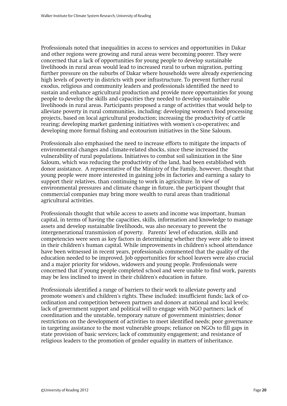Professionals noted that inequalities in access to services and opportunities in Dakar and other regions were growing and rural areas were becoming poorer. They were concerned that a lack of opportunities for young people to develop sustainable livelihoods in rural areas would lead to increased rural to urban migration, putting further pressure on the suburbs of Dakar where households were already experiencing high levels of poverty in districts with poor infrastructure. To prevent further rural exodus, religious and community leaders and professionals identified the need to sustain and enhance agricultural production and provide more opportunities for young people to develop the skills and capacities they needed to develop sustainable livelihoods in rural areas. Participants proposed a range of activities that would help to alleviate poverty in rural communities, including: developing women's food processing projects, based on local agricultural production; increasing the productivity of cattle rearing; developing market gardening initiatives with women's co-operatives; and developing more formal fishing and ecotourism initiatives in the Sine Saloum.

Professionals also emphasised the need to increase efforts to mitigate the impacts of environmental changes and climate-related shocks, since these increased the vulnerability of rural populations. Initiatives to combat soil salinization in the Sine Saloum, which was reducing the productivity of the land, had been established with donor assistance. A representative of the Ministry of the Family, however, thought that young people were more interested in gaining jobs in factories and earning a salary to support their relatives, than continuing to work in agriculture. In view of environmental pressures and climate change in future, the participant thought that commercial companies may bring more wealth to rural areas than traditional agricultural activities.

Professionals thought that while access to assets and income was important, human capital, in terms of having the capacities, skills, information and knowledge to manage assets and develop sustainable livelihoods, was also necessary to prevent the intergenerational transmission of poverty. Parents' level of education, skills and competencies were seen as key factors in determining whether they were able to invest in their children's human capital. While improvements in children's school attendance have been witnessed in recent years, professionals commented that the quality of the education needed to be improved. Job opportunities for school leavers were also crucial and a major priority for widows, widowers and young people. Professionals were concerned that if young people completed school and were unable to find work, parents may be less inclined to invest in their children's education in future.

Professionals identified a range of barriers to their work to alleviate poverty and promote women's and children's rights. These included: insufficient funds; lack of coordination and competition between partners and donors at national and local levels; lack of government support and political will to engage with NGO partners; lack of coordination and the unstable, temporary nature of government ministries; donor restrictions on the development of activities to meet identified needs; poor governance in targeting assistance to the most vulnerable groups; reliance on NGOs to fill gaps in state provision of basic services; lack of community engagement; and resistance of religious leaders to the promotion of gender equality in matters of inheritance.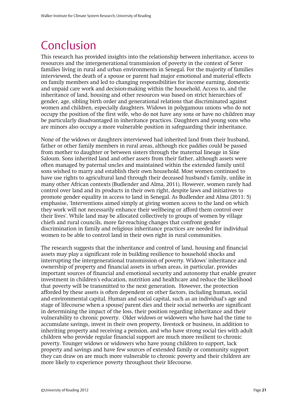### <span id="page-22-0"></span>Conclusion

This research has provided insights into the relationship between inheritance, access to resources and the intergenerational transmission of poverty in the context of Serer families living in rural and urban environments in Senegal. For the majority of families interviewed, the death of a spouse or parent had major emotional and material effects on family members and led to changing responsibilities for income earning, domestic and unpaid care work and decision-making within the household. Access to, and the inheritance of land, housing and other resources was based on strict hierarchies of gender, age, sibling birth order and generational relations that discriminated against women and children, especially daughters. Widows in polygamous unions who do not occupy the position of the first wife, who do not have any sons or have no children may be particularly disadvantaged in inheritance practices. Daughters and young sons who are minors also occupy a more vulnerable position in safeguarding their inheritance.

None of the widows or daughters interviewed had inherited land from their husband, father or other family members in rural areas, although rice paddies could be passed from mother to daughter or between sisters through the maternal lineage in Sine Saloum. Sons inherited land and other assets from their father, although assets were often managed by paternal uncles and maintained within the extended family until sons wished to marry and establish their own household. Most women continued to have use rights to agricultural land through their deceased husband's family, unlike in many other African contexts (Budlender and Alma, 2011). However, women rarely had control over land and its products in their own right, despite laws and initiatives to promote gender equality in access to land in Senegal. As Budlender and Alma (2011: 5) emphasise, 'Interventions aimed simply at giving women access to the land on which they work will not necessarily enhance their wellbeing or afford them control over their lives'. While land may be allocated collectively to groups of women by village chiefs and rural councils, more far-reaching changes that confront gender discrimination in family and religious inheritance practices are needed for individual women to be able to control land in their own right in rural communities.

The research suggests that the inheritance and control of land, housing and financial assets may play a significant role in building resilience to household shocks and interrupting the intergenerational transmission of poverty. Widows' inheritance and ownership of property and financial assets in urban areas, in particular, provides important sources of financial and emotional security and autonomy that enable greater investment in children's education, nutrition and healthcare and reduce the likelihood that poverty will be transmitted to the next generation. However, the protection afforded by these assets is often dependent on other factors, including human, social and environmental capital. Human and social capital, such as an individual's age and stage of lifecourse when a spouse/ parent dies and their social networks are significant in determining the impact of the loss, their position regarding inheritance and their vulnerability to chronic poverty. Older widows or widowers who have had the time to accumulate savings, invest in their own property, livestock or business, in addition to inheriting property and receiving a pension, and who have strong social ties with adult children who provide regular financial support are much more resilient to chronic poverty. Younger widows or widowers who have young children to support, lack property and savings and have few sources of extended family or community support they can draw on are much more vulnerable to chronic poverty and their children are more likely to experience poverty throughout their lifecourse.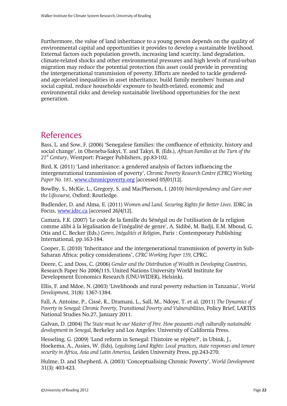Furthermore, the value of land inheritance to a young person depends on the quality of environmental capital and opportunities it provides to develop a sustainable livelihood. External factors such population growth, increasing land scarcity, land degradation, climate-related shocks and other environmental pressures and high levels of rural-urban migration may reduce the potential protection this asset could provide in preventing the intergenerational transmission of poverty. Efforts are needed to tackle genderedand age-related inequalities in asset inheritance, build family members' human and social capital, reduce households' exposure to health-related, economic and environmental risks and develop sustainable livelihood opportunities for the next generation.

#### <span id="page-23-0"></span>References

Bass, L. and Sow, F. (2006) 'Senegalese families: the confluence of ethnicity, history and social change', in Oheneba-Sakyi, Y. and Takyi, B. (Eds.), *African Families at the Turn of the 21st Century*, Westport: Praeger Publishers, pp.83-102.

Bird, K. (2011) 'Land inheritance: a gendered analysis of factors influencing the intergenerational transmission of poverty', *Chronic Poverty Research Centre (CPRC) Working Paper No. 181*, [www.chronicpoverty.org](http://www.chronicpoverty.org/) [accessed 05/01/12].

Bowlby, S., McKie, L., Gregory, S. and MacPherson, I. (2010) *Interdependency and Care over the Lifecourse,* Oxford: Routledge.

Budlender, D. and Alma, E. (2011) *Women and Land. Securing Rights for Better Lives*. IDRC in Focus, [www.idrc.ca](http://www.idrc.ca/) [accessed 26/4/12].

Camara, F.K. (2007) 'Le code de la famille du Sénégal ou de l'utilisation de la religion comme alibi à la légalisation de l'inégalité de genre', A. Sidibé, M. Badji, E.M. Mboud, G. Otis and C. Becker (Eds.) *Genre, Inégalités et Religion*, Paris : Contemporary Publishing International, pp.163-184.

Cooper, E. (2010) 'Inheritance and the intergenerational transmission of poverty in Sub-Saharan Africa: policy considerations', *CPRC Working Paper 159,* CPRC*.*

Deere, C. and Doss, C. (2006) *Gender and the Distribution of Wealth in Developing Countries,* Research Paper No 2006/115, United Nations University World Institute for Development Economics Research (UNU-WIDER), Helsinki.

Ellis, F. and Mdoe, N. (2003) 'Livelihoods and rural poverty reduction in Tanzania', *World Development,* 31(8): 1367-1384.

Fall, A. Antoine, P., Cissé, R., Dramani, L., Sall, M., Ndoye, T. et al. (2011) *The Dynamics of Poverty in Senegal: Chronic Poverty, Transitional Poverty and Vulnerabilities,* Policy Brief, LARTES National Studies No.27, January 2011.

Galvan, D. (2004) *The State must be our Master of Fire. How peasants craft culturally sustainable development in Senegal,* Berkeley and Los Angeles: University of California Press.

Hesseling, G. (2009) 'Land reform in Senegal: l'histoire se répète?', in Ubink, J., Hoekema, A., Assies, W. (Eds), *Legalising Land Rights: Local practices, state responses and tenure security in Africa, Asia and Latin America,* Leiden University Press, pp.243-270.

Hulme, D. and Shepherd, A. (2003) 'Conceptualising Chronic Poverty', *World Development* 31(3): 403-423.